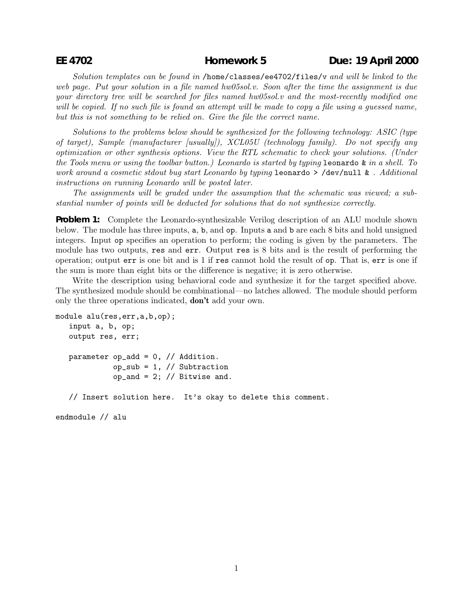Solution templates can be found in /home/classes/ee4702/files/v and will be linked to the web page. Put your solution in a file named hw05sol.v. Soon after the time the assignment is due your directory tree will be searched for files named hw05sol.v and the most-recently modified one will be copied. If no such file is found an attempt will be made to copy a file using a quessed name, but this is not something to be relied on. Give the file the correct name.

Solutions to the problems below should be synthesized for the following technology: ASIC (type of target), Sample (manufacturer [usually]), XCL05U (technology family). Do not specify any optimization or other synthesis options. View the RTL schematic to check your solutions. (Under the Tools menu or using the toolbar button.) Leonardo is started by typing leonardo & in a shell. To work around a cosmetic stdout bug start Leonardo by typing **leonardo** >  $/$ dev/null & . Additional instructions on running Leonardo will be posted later.

The assignments will be graded under the assumption that the schematic was viewed; a substantial number of points will be deducted for solutions that do not synthesize correctly.

**Problem 1:** Complete the Leonardo-synthesizable Verilog description of an ALU module shown below. The module has three inputs, a, b, and op. Inputs a and b are each 8 bits and hold unsigned integers. Input op specifies an operation to perform; the coding is given by the parameters. The module has two outputs, res and err. Output res is 8 bits and is the result of performing the operation; output err is one bit and is 1 if res cannot hold the result of op. That is, err is one if the sum is more than eight bits or the difference is negative; it is zero otherwise.

Write the description using behavioral code and synthesize it for the target specified above. The synthesized module should be combinational—no latches allowed. The module should perform only the three operations indicated, **don't** add your own.

```
module alu(res,err,a,b,op);
 input a, b, op;
 output res, err;
parameter op\_add = 0, // Addition.
           op\_sub = 1, // Subtractionop_and = 2; // Bitwise and.
// Insert solution here. It's okay to delete this comment.
```
endmodule // alu